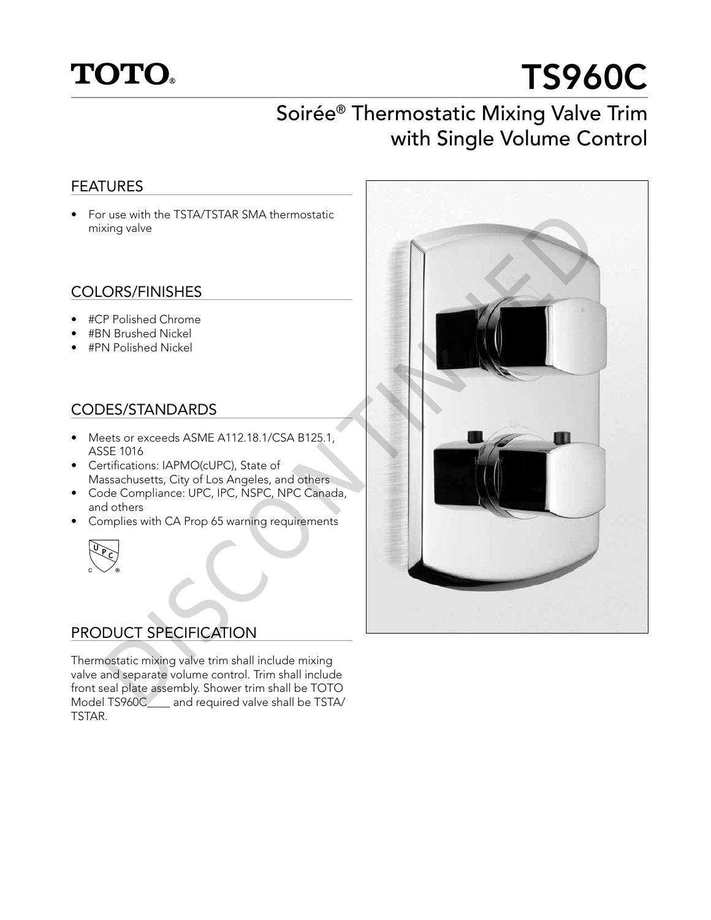## **TOTO.**

# TS960C

## Soirée® Thermostatic Mixing Valve Trim with Single Volume Control

#### FEATURES

• For use with the TSTA/TSTAR SMA thermostatic mixing valve

#### COLORS/FINISHES

- #CP Polished Chrome
- #BN Brushed Nickel
- #PN Polished Nickel

#### CODES/STANDARDS

- Meets or exceeds ASME A112.18.1/CSA B125.1, ASSE 1016
- Certifications: IAPMO(cUPC), State of Massachusetts, City of Los Angeles, and others
- Code Compliance: UPC, IPC, NSPC, NPC Canada, and others
- Complies with CA Prop 65 warning requirements



#### PRODUCT SPECIFICATION

Thermostatic mixing valve trim shall include mixing valve and separate volume control. Trim shall include front seal plate assembly. Shower trim shall be TOTO Model TS960C\_\_\_\_ and required valve shall be TSTA/ TSTAR.